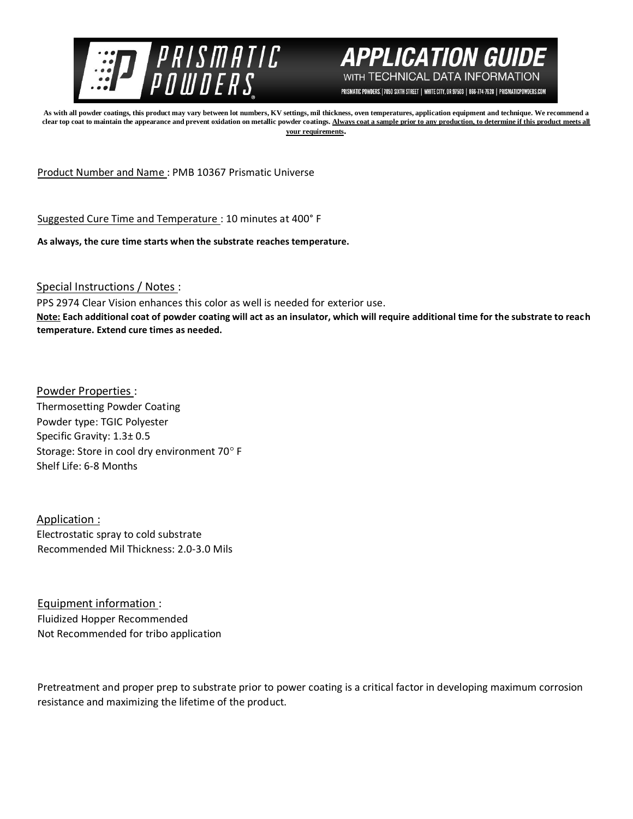



PRISMATIC POWDERS. | 7050 SIXTH STREET | WHITE CITY, OR 97503 | 866-774-7628 | PRISMATICPOWDERS.COM

**As with all powder coatings, this product may vary between lot numbers, KV settings, mil thickness, oven temperatures, application equipment and technique. We recommend a**  clear top coat to maintain the appearance and prevent oxidation on metallic powder coatings. Always coat a sample prior to any production, to determine if this product meets all **your requirements.** 

Product Number and Name : PMB 10367 Prismatic Universe

Suggested Cure Time and Temperature : 10 minutes at 400° F

**As always, the cure time starts when the substrate reaches temperature.**

Special Instructions / Notes :

PPS 2974 Clear Vision enhances this color as well is needed for exterior use.

**Note: Each additional coat of powder coating will act as an insulator, which will require additional time for the substrate to reach temperature. Extend cure times as needed.** 

Powder Properties : Thermosetting Powder Coating Powder type: TGIC Polyester Specific Gravity: 1.3± 0.5 Storage: Store in cool dry environment 70° F Shelf Life: 6-8 Months

Application : Electrostatic spray to cold substrate Recommended Mil Thickness: 2.0-3.0 Mils

Equipment information : Fluidized Hopper Recommended Not Recommended for tribo application

Pretreatment and proper prep to substrate prior to power coating is a critical factor in developing maximum corrosion resistance and maximizing the lifetime of the product.